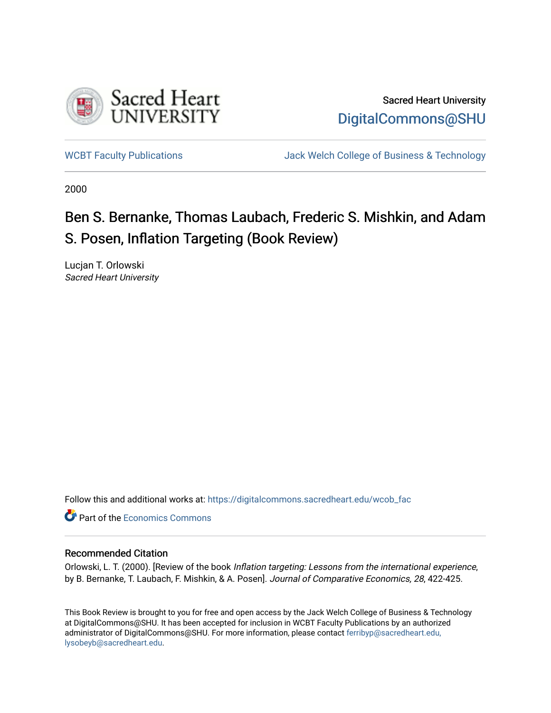

Sacred Heart University [DigitalCommons@SHU](https://digitalcommons.sacredheart.edu/) 

[WCBT Faculty Publications](https://digitalcommons.sacredheart.edu/wcob_fac) **MEGAL SERVINGS** Jack Welch College of Business & Technology

2000

# Ben S. Bernanke, Thomas Laubach, Frederic S. Mishkin, and Adam S. Posen, Inflation Targeting (Book Review)

Lucjan T. Orlowski Sacred Heart University

Follow this and additional works at: [https://digitalcommons.sacredheart.edu/wcob\\_fac](https://digitalcommons.sacredheart.edu/wcob_fac?utm_source=digitalcommons.sacredheart.edu%2Fwcob_fac%2F620&utm_medium=PDF&utm_campaign=PDFCoverPages)

**C** Part of the [Economics Commons](http://network.bepress.com/hgg/discipline/340?utm_source=digitalcommons.sacredheart.edu%2Fwcob_fac%2F620&utm_medium=PDF&utm_campaign=PDFCoverPages)

## Recommended Citation

Orlowski, L. T. (2000). [Review of the book Inflation targeting: Lessons from the international experience, by B. Bernanke, T. Laubach, F. Mishkin, & A. Posen]. Journal of Comparative Economics, 28, 422-425.

This Book Review is brought to you for free and open access by the Jack Welch College of Business & Technology at DigitalCommons@SHU. It has been accepted for inclusion in WCBT Faculty Publications by an authorized administrator of DigitalCommons@SHU. For more information, please contact [ferribyp@sacredheart.edu,](mailto:ferribyp@sacredheart.edu,%20lysobeyb@sacredheart.edu) [lysobeyb@sacredheart.edu](mailto:ferribyp@sacredheart.edu,%20lysobeyb@sacredheart.edu).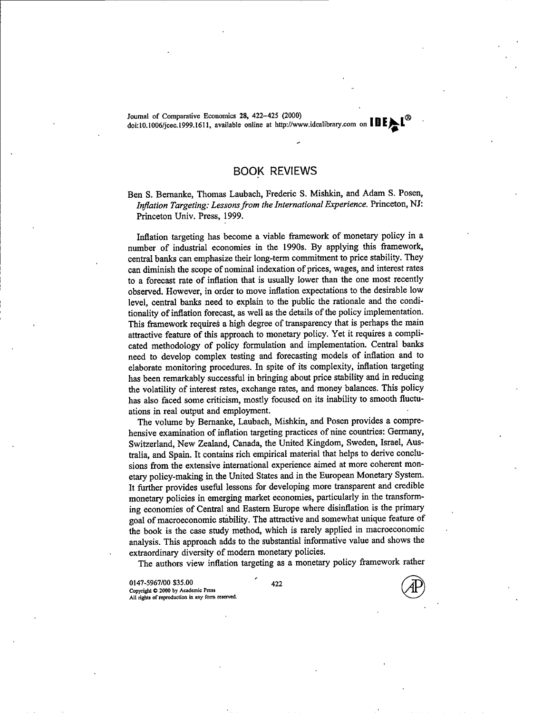Journal of Comparative Economics 28, 422-425 (2000) doi:10.1006/jcec.1999.1611, available online at http://www.idealibrary.com on **IDE** 

## BOOK REVIEWS

Ben S. Bernanke, Thomas Laubach, Frederic S. Mishkin, and Adam S. Posen, *Inflation Targeting: Lessonsfrom the International Experience.* Princeton, NJ: Princeton Univ. Press, 1999.

Inflation targeting has become a viable framework of monetary policy in a number of industrial economies in the 1990s. By applying this framework, central banks can emphasize their long-term commitment to price stability. They can diminish the scope of nominal indexation of prices, wages, and interest rates to a forecast rate of inflation that is usually lower than the one most recently observed. However, in order to move inflation expectations to the desirable low level, central banks need to explain to the public the rationale and the conditionality of inflation forecast, as well as the details of the policy implementation. This framework requires a high degree of transparency that is perhaps the main attractive feature of this approach to monetary policy. Yet it requires a complicated methodology of policy formulation and implementation. Central banks need to develop complex testing and forecasting models of inflation and to elaborate monitoring procedures. In spite of its complexity, inflation targeting has been remarkably successful in bringing about price stability and in reducing the volatility of interest rates, exchange rates, and money balances. This policy has also faced some criticism, mostly focused on its inability to smooth fluctuations in real output and employment.

The volume by Bernanke, Laubach, Mishkin, and Posen provides a comprehensive examination of inflation targeting practices of nine countries: Germany, Switzerland, New Zealand, Canada, the United Kingdom, Sweden, Israel, Australia, and Spain. It contains rich empirical material that helps to derive conclusions from the extensive international experience aimed at more coherent monetary policy-making in the United States and in the European Monetary System. It further provides useful lessons for developing more transparent and credible monetary policies in emerging market economies, particularly in the transforming economies of Central and Eastern Europe where disinflation is the primary goal of macroeconomic stability. The attractive and somewhat unique feature of the book is the case study method, which is rarely applied in macroeconomic analysis. This approach adds to the substantial informative value and shows the extraordinary diversity of modem monetary policies.

The authors view inflation targeting as a monetary policy framework rather

0147-5967/00 \$35.00 422 **Copyright O 2000 by Academic Press All rights of reproduction in any form reserved.**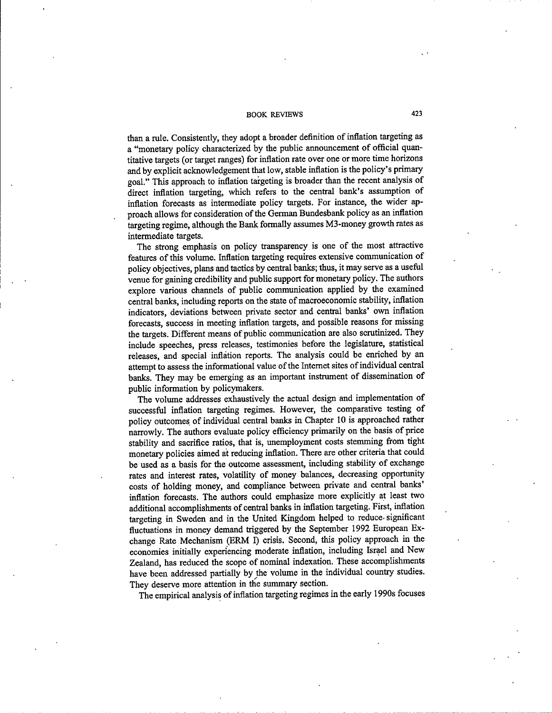#### BOOK REVIEWS 423

than a rule. Consistently, they adopt a broader definition of inflation targeting as a "monetary policy characterized by the public announcement of official quantitative targets (or target ranges) for inflation rate over one or more time horizons and by explicit acknowledgement that low, stable inflation is the policy's primary goal." This approach to inflation targeting is broader than the recent analysis of direct inflation targeting, which refers to the central bank's assumption of inflation forecasts as intermediate policy targets. For instance, the wider approach allows for consideration of the German Bundesbank policy as an inflation targeting regime, although the Bank formally assumes M3-money growth rates as intermediate targets.

The strong emphasis on policy transparency is one of the most attractive features of this volume. Inflation targeting requires extensive communication of policy objectives, plans and tactics by central banks; thus, it may serve as a useful venue for gaining credibility and public support for monetary policy. The authors explore various channels of public communication applied by the examined central banks, including reports on the state of macroeconomic stability, inflation indicators, deviations between private sector and central banks' own inflation forecasts, success in meeting inflation targets, and possible reasons for missing the targets. Different means of public communication are also scrutinized. They include speeches, press releases, testimonies before the legislature, statistical releases, and special inflation reports. The analysis could be enriched by an attempt to assess the informational value of the Internet sites of individual central banks. They may be emerging as an important instrument of dissemination of public information by policymakers.

The volume addresses exhaustively the actual design and implementation of successful inflation targeting regimes. However, the comparative testing of policy outcomes of individual central banks in Chapter 10 is approached rather narrowly. The authors evaluate policy efficiency primarily on the basis of price stability and sacrifice ratios, that is, unemployment costs stemming from tight monetary policies aimed at reducing inflation. There are other criteria that could be used as a basis for the outcome assessment, including stability of exchange rates and interest rates, volatility of money balances, decreasing opportunity costs of holding money, and compliance between private and central banks' inflation forecasts. The authors could emphasize more explicitly at least two additional accomplishments of central banks in inflation targeting. First, inflation targeting in Sweden and in the United Kingdom helped to reduce- significant fluctuations in money demand triggered by the September 1992 European Exchange Rate Mechanism (ERM I) crisis. Second, this policy approach in the economies initially experiencing moderate inflation, including Israel and New Zealand, has reduced the scope of nominal indexation. These accomplishments have been addressed partially by the volume in the individual country studies. They deserve more attention in the summary section.

The empirical analysis of inflation targeting regimes in the early 1990s focuses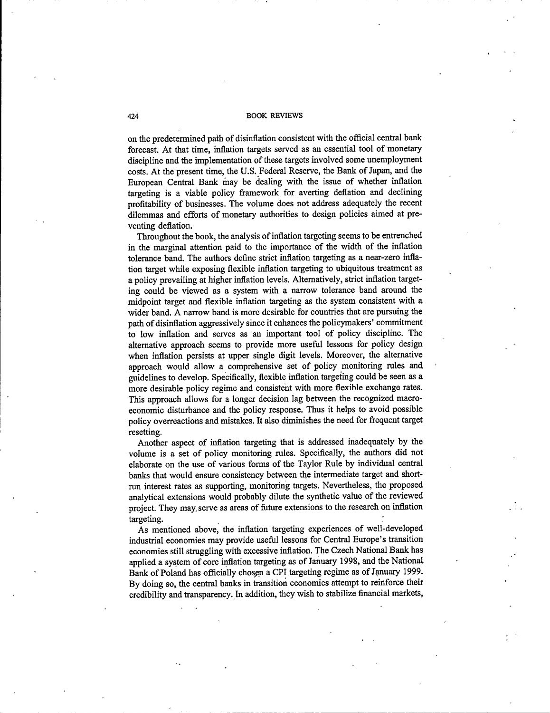#### 424 BOOK REVIEWS

on the predetermined path of disinflation consistent with the official central bank forecast. At that time, inflation targets served as an essential tool of monetary discipline and the implementation of these targets involved some unemployment costs. At the present time, the U.S. Federal Reserve, the Bank of Japan, and the European Central Bank may be dealing with the issue of whether inflation targeting is a viable policy framework for averting deflation and declining profitability of businesses. The volume does not address adequately the recent dilemmas and efforts of monetary authorities to design policies aimed at preventing deflation.

Throughout the book, the analysis of inflation targeting seems to be entrenched in the marginal attention paid to the importance of the width of the inflation tolerance band. The authors define strict inflation targeting as a near-zero inflation target while exposing flexible inflation targeting to ubiquitous treatment as a policy prevailing at higher inflation levels. Alternatively, strict inflation targeting could be viewed as a system with a narrow tolerance band around the midpoint target and flexible inflation targeting as the system consistent with a wider band. A narrow band is more desirable for countries that are pursuing the path of disinflation aggressively since it enhances the policymakers' commitment to low inflation and serves as an important tool of policy discipline. The alternative approach seems to provide more usefill lessons for policy design when inflation persists at upper single digit levels. Moreover, the alternative approach would allow a comprehensive set of policy monitoring rules and guidelines to develop. Specifically, flexible inflation targeting could be seen as a more desirable policy regime and consistent with more flexible exchange rates. This approach allows for a longer decision lag between the recognized macroeconomic disturbance and the policy response. Thus it helps to avoid possible policy overreactions and mistakes. It also diminishes the need for frequent target resetting.

Another aspect of inflation targeting that is addressed inadequately by the volume is a set of policy monitoring rules. Specifically, the authors did not elaborate on the use of various forms of the Taylor Rule by individual central banks that would ensure consistency between the intermediate target and shortrun interest rates as supporting, monitoring targets. Nevertheless, the proposed analytical extensions would probably dilute the synthetic value of the reviewed project. They may serve as areas of future extensions to the research on inflation targeting.

As mentioned above, the inflation targeting experiences of well-developed industrial economies may provide useful lessons for Central Europe's transition economies still struggling with excessive inflation. The Czech National Bank has applied a system of core inflation targeting as of January 1998, and the National Bank of Poland has officially chosen a CPI targeting regime as of January 1999. By doing so, the central banks in transition economies attempt to reinforce their credibility and transparency. In addition, they wish to stabilize financial markets.